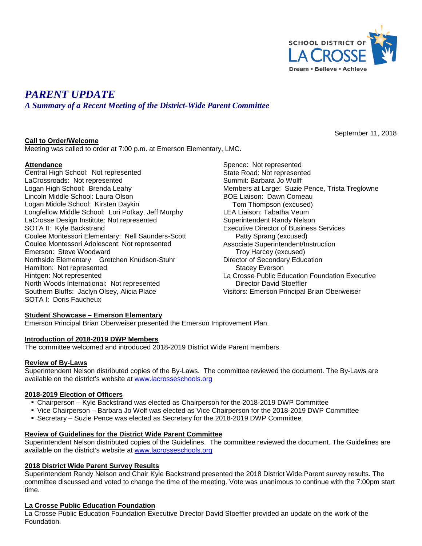

September 11, 2018

# *PARENT UPDATE*

*A Summary of a Recent Meeting of the District-Wide Parent Committee*

# **Call to Order/Welcome**

Meeting was called to order at 7:00 p.m. at Emerson Elementary, LMC.

# **Attendance**

Central High School: Not represented LaCrossroads: Not represented Logan High School: Brenda Leahy Lincoln Middle School: Laura Olson Logan Middle School: Kirsten Daykin Longfellow Middle School: Lori Potkay, Jeff Murphy LaCrosse Design Institute: Not represented SOTA II: Kyle Backstrand Coulee Montessori Elementary: Nell Saunders-Scott Coulee Montessori Adolescent: Not represented Emerson: Steve Woodward Northside Elementary Gretchen Knudson-Stuhr Hamilton: Not represented Hintgen: Not represented North Woods International: Not represented Southern Bluffs: Jaclyn Olsey, Alicia Place SOTA I: Doris Faucheux

Spence: Not represented State Road: Not represented Summit: Barbara Jo Wolff Members at Large: Suzie Pence, Trista Treglowne BOE Liaison: Dawn Comeau Tom Thompson (excused) LEA Liaison: Tabatha Veum Superintendent Randy Nelson Executive Director of Business Services Patty Sprang (excused) Associate Superintendent/Instruction Troy Harcey (excused) Director of Secondary Education Stacey Everson La Crosse Public Education Foundation Executive Director David Stoeffler Visitors: Emerson Principal Brian Oberweiser

#### **Student Showcase – Emerson Elementary**

Emerson Principal Brian Oberweiser presented the Emerson Improvement Plan.

# **Introduction of 2018-2019 DWP Members**

The committee welcomed and introduced 2018-2019 District Wide Parent members.

#### **Review of By-Laws**

Superintendent Nelson distributed copies of the By-Laws. The committee reviewed the document. The By-Laws are available on the district's website at [www.lacrosseschools.org](http://www.lacrosseschools.org/)

#### **2018-2019 Election of Officers**

- Chairperson Kyle Backstrand was elected as Chairperson for the 2018-2019 DWP Committee
- Vice Chairperson Barbara Jo Wolf was elected as Vice Chairperson for the 2018-2019 DWP Committee
- Secretary Suzie Pence was elected as Secretary for the 2018-2019 DWP Committee

#### **Review of Guidelines for the District Wide Parent Committee**

Superintendent Nelson distributed copies of the Guidelines. The committee reviewed the document. The Guidelines are available on the district's website at [www.lacrosseschools.org](http://www.lacrosseschools.org/)

#### **2018 District Wide Parent Survey Results**

Superintendent Randy Nelson and Chair Kyle Backstrand presented the 2018 District Wide Parent survey results. The committee discussed and voted to change the time of the meeting. Vote was unanimous to continue with the 7:00pm start time.

#### **La Crosse Public Education Foundation**

La Crosse Public Education Foundation Executive Director David Stoeffler provided an update on the work of the Foundation.